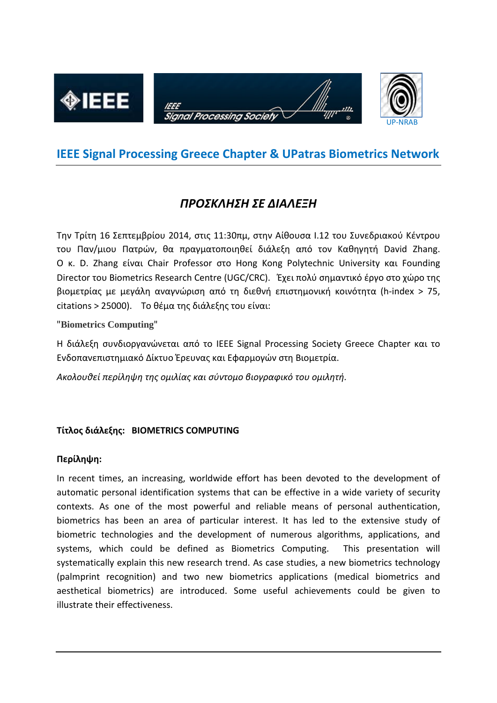

## **IEEE Signal Processing Greece Chapter & UPatras Biometrics Network**

# *ΠΡΟΣΚΛΗΣΗ ΣΕ ΔΙΑΛΕΞΗ*

Την Τρίτη 16 Σεπτεμβρίου 2014, στις 11:30πμ, στην Αίθουσα Ι.12 του Συνεδριακού Κέντρου του Παν/μιου Πατρών, θα πραγματοποιηθεί διάλεξη από τον Καθηγητή David Zhang. Ο κ. D. Zhang είναι Chair Professor στο Hong Kong Polytechnic University και Founding Director του Biometrics Research Centre (UGC/CRC). Έχει πολύ σημαντικό έργο στο χώρο της βιομετρίας με μεγάλη αναγνώριση από τη διεθνή επιστημονική κοινότητα (h-index > 75, citations > 25000). Το θέμα της διάλεξης του είναι:

"**Biometrics Computing**"

Η διάλεξη συνδιοργανώνεται από το ΙΕΕΕ Signal Processing Society Greece Chapter και το Ενδοπανεπιστημιακό Δίκτυο Έρευνας και Εφαρμογών στη Βιομετρία.

*Ακολουθεί περίληψη της ομιλίας και σύντομο βιογραφικό του ομιλητή.*

### **Τίτλος διάλεξης: BIOMETRICS COMPUTING**

#### **Περίληψη:**

In recent times, an increasing, worldwide effort has been devoted to the development of automatic personal identification systems that can be effective in a wide variety of security contexts. As one of the most powerful and reliable means of personal authentication, biometrics has been an area of particular interest. It has led to the extensive study of biometric technologies and the development of numerous algorithms, applications, and systems, which could be defined as Biometrics Computing. This presentation will systematically explain this new research trend. As case studies, a new biometrics technology (palmprint recognition) and two new biometrics applications (medical biometrics and aesthetical biometrics) are introduced. Some useful achievements could be given to illustrate their effectiveness.